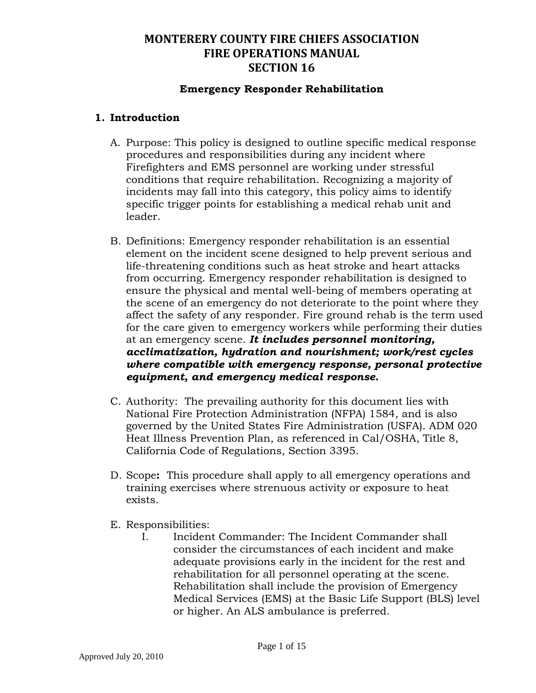### **Emergency Responder Rehabilitation**

### **1. Introduction**

- A. Purpose: This policy is designed to outline specific medical response procedures and responsibilities during any incident where Firefighters and EMS personnel are working under stressful conditions that require rehabilitation. Recognizing a majority of incidents may fall into this category, this policy aims to identify specific trigger points for establishing a medical rehab unit and leader.
- B. Definitions: Emergency responder rehabilitation is an essential element on the incident scene designed to help prevent serious and life-threatening conditions such as heat stroke and heart attacks from occurring. Emergency responder rehabilitation is designed to ensure the physical and mental well-being of members operating at the scene of an emergency do not deteriorate to the point where they affect the safety of any responder. Fire ground rehab is the term used for the care given to emergency workers while performing their duties at an emergency scene. *It includes personnel monitoring, acclimatization, hydration and nourishment; work/rest cycles where compatible with emergency response, personal protective equipment, and emergency medical response.*
- C. Authority: The prevailing authority for this document lies with National Fire Protection Administration (NFPA) 1584, and is also governed by the United States Fire Administration (USFA). ADM 020 Heat Illness Prevention Plan, as referenced in Cal/OSHA, Title 8, California Code of Regulations, Section 3395.
- D. Scope**:** This procedure shall apply to all emergency operations and training exercises where strenuous activity or exposure to heat exists.
- E. Responsibilities:
	- I. Incident Commander: The Incident Commander shall consider the circumstances of each incident and make adequate provisions early in the incident for the rest and rehabilitation for all personnel operating at the scene. Rehabilitation shall include the provision of Emergency Medical Services (EMS) at the Basic Life Support (BLS) level or higher. An ALS ambulance is preferred*.*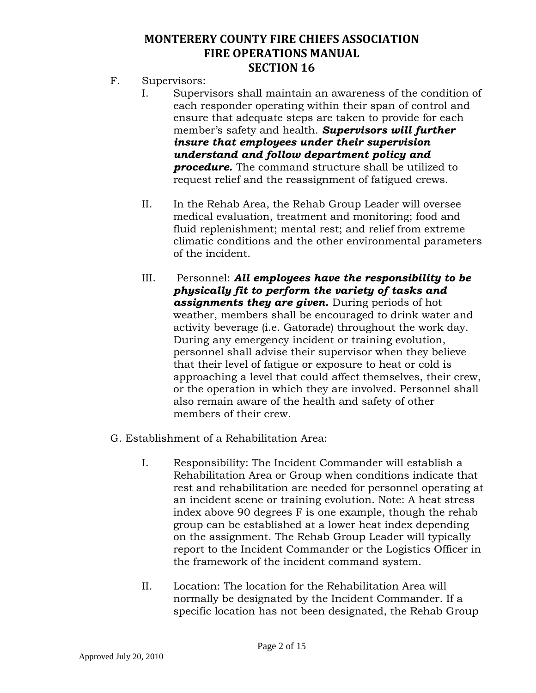- F. Supervisors:
	- I. Supervisors shall maintain an awareness of the condition of each responder operating within their span of control and ensure that adequate steps are taken to provide for each member's safety and health. *Supervisors will further insure that employees under their supervision understand and follow department policy and procedure.* The command structure shall be utilized to request relief and the reassignment of fatigued crews.
	- II. In the Rehab Area, the Rehab Group Leader will oversee medical evaluation, treatment and monitoring; food and fluid replenishment; mental rest; and relief from extreme climatic conditions and the other environmental parameters of the incident.
	- III. Personnel: *All employees have the responsibility to be physically fit to perform the variety of tasks and assignments they are given.* During periods of hot weather, members shall be encouraged to drink water and activity beverage (i.e. Gatorade) throughout the work day. During any emergency incident or training evolution, personnel shall advise their supervisor when they believe that their level of fatigue or exposure to heat or cold is approaching a level that could affect themselves, their crew, or the operation in which they are involved. Personnel shall also remain aware of the health and safety of other members of their crew.
- G. Establishment of a Rehabilitation Area:
	- I. Responsibility: The Incident Commander will establish a Rehabilitation Area or Group when conditions indicate that rest and rehabilitation are needed for personnel operating at an incident scene or training evolution. Note: A heat stress index above 90 degrees F is one example, though the rehab group can be established at a lower heat index depending on the assignment. The Rehab Group Leader will typically report to the Incident Commander or the Logistics Officer in the framework of the incident command system.
	- II. Location: The location for the Rehabilitation Area will normally be designated by the Incident Commander. If a specific location has not been designated, the Rehab Group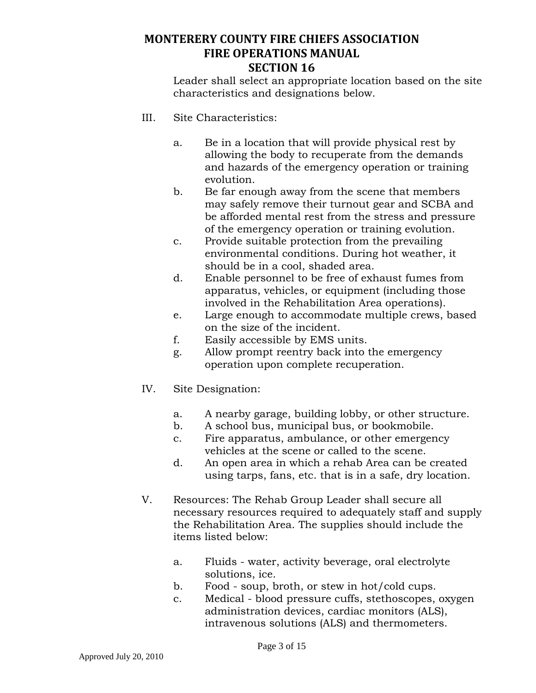Leader shall select an appropriate location based on the site characteristics and designations below.

- III. Site Characteristics:
	- a. Be in a location that will provide physical rest by allowing the body to recuperate from the demands and hazards of the emergency operation or training evolution.
	- b. Be far enough away from the scene that members may safely remove their turnout gear and SCBA and be afforded mental rest from the stress and pressure of the emergency operation or training evolution.
	- c. Provide suitable protection from the prevailing environmental conditions. During hot weather, it should be in a cool, shaded area.
	- d. Enable personnel to be free of exhaust fumes from apparatus, vehicles, or equipment (including those involved in the Rehabilitation Area operations).
	- e. Large enough to accommodate multiple crews, based on the size of the incident.
	- f. Easily accessible by EMS units.
	- g. Allow prompt reentry back into the emergency operation upon complete recuperation.
- IV. Site Designation:
	- a. A nearby garage, building lobby, or other structure.
	- b. A school bus, municipal bus, or bookmobile.
	- c. Fire apparatus, ambulance, or other emergency vehicles at the scene or called to the scene.
	- d. An open area in which a rehab Area can be created using tarps, fans, etc. that is in a safe, dry location.
- V. Resources: The Rehab Group Leader shall secure all necessary resources required to adequately staff and supply the Rehabilitation Area. The supplies should include the items listed below:
	- a. Fluids water, activity beverage, oral electrolyte solutions, ice.
	- b. Food soup, broth, or stew in hot/cold cups.
	- c. Medical blood pressure cuffs, stethoscopes, oxygen administration devices, cardiac monitors (ALS), intravenous solutions (ALS) and thermometers.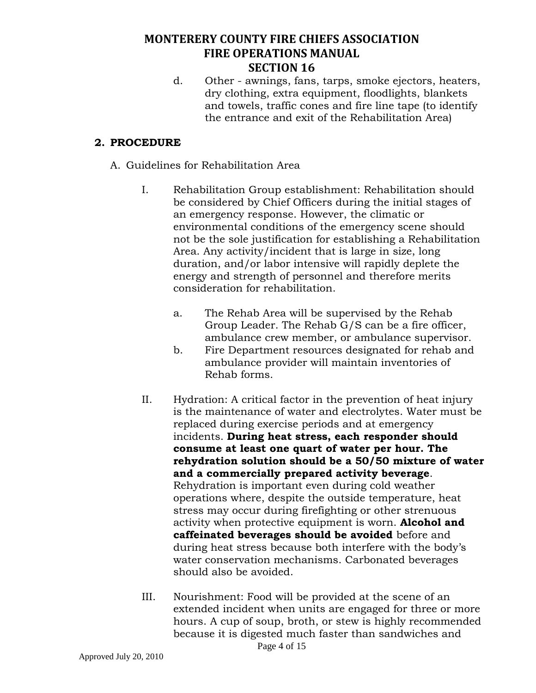d. Other - awnings, fans, tarps, smoke ejectors, heaters, dry clothing, extra equipment, floodlights, blankets and towels, traffic cones and fire line tape (to identify the entrance and exit of the Rehabilitation Area)

### **2. PROCEDURE**

- A. Guidelines for Rehabilitation Area
	- I. Rehabilitation Group establishment: Rehabilitation should be considered by Chief Officers during the initial stages of an emergency response. However, the climatic or environmental conditions of the emergency scene should not be the sole justification for establishing a Rehabilitation Area. Any activity/incident that is large in size, long duration, and/or labor intensive will rapidly deplete the energy and strength of personnel and therefore merits consideration for rehabilitation.
		- a. The Rehab Area will be supervised by the Rehab Group Leader. The Rehab G/S can be a fire officer, ambulance crew member, or ambulance supervisor.
		- b. Fire Department resources designated for rehab and ambulance provider will maintain inventories of Rehab forms.
	- II. Hydration: A critical factor in the prevention of heat injury is the maintenance of water and electrolytes. Water must be replaced during exercise periods and at emergency incidents. **During heat stress, each responder should consume at least one quart of water per hour. The rehydration solution should be a 50/50 mixture of water and a commercially prepared activity beverage**. Rehydration is important even during cold weather operations where, despite the outside temperature, heat stress may occur during firefighting or other strenuous activity when protective equipment is worn. **Alcohol and caffeinated beverages should be avoided** before and during heat stress because both interfere with the body's water conservation mechanisms. Carbonated beverages should also be avoided.
	- III. Nourishment: Food will be provided at the scene of an extended incident when units are engaged for three or more hours. A cup of soup, broth, or stew is highly recommended because it is digested much faster than sandwiches and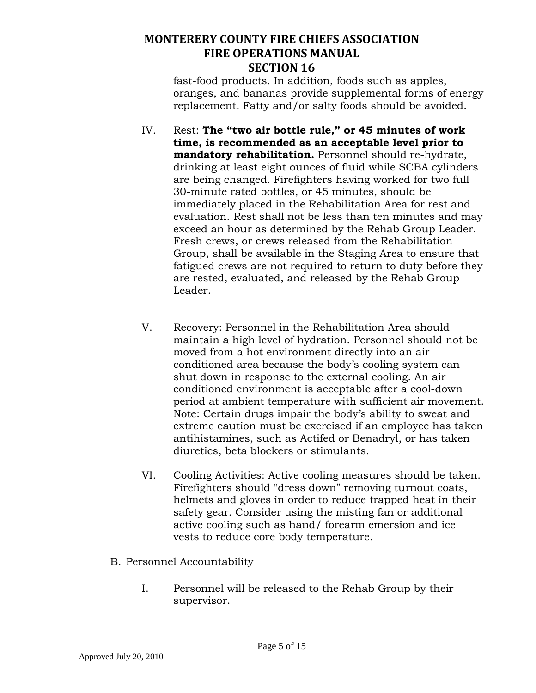fast-food products. In addition, foods such as apples, oranges, and bananas provide supplemental forms of energy replacement. Fatty and/or salty foods should be avoided.

- IV. Rest: **The "two air bottle rule," or 45 minutes of work time, is recommended as an acceptable level prior to mandatory rehabilitation.** Personnel should re-hydrate, drinking at least eight ounces of fluid while SCBA cylinders are being changed. Firefighters having worked for two full 30-minute rated bottles, or 45 minutes, should be immediately placed in the Rehabilitation Area for rest and evaluation. Rest shall not be less than ten minutes and may exceed an hour as determined by the Rehab Group Leader. Fresh crews, or crews released from the Rehabilitation Group, shall be available in the Staging Area to ensure that fatigued crews are not required to return to duty before they are rested, evaluated, and released by the Rehab Group Leader.
- V. Recovery: Personnel in the Rehabilitation Area should maintain a high level of hydration. Personnel should not be moved from a hot environment directly into an air conditioned area because the body's cooling system can shut down in response to the external cooling. An air conditioned environment is acceptable after a cool-down period at ambient temperature with sufficient air movement. Note: Certain drugs impair the body's ability to sweat and extreme caution must be exercised if an employee has taken antihistamines, such as Actifed or Benadryl, or has taken diuretics, beta blockers or stimulants.
- VI. Cooling Activities: Active cooling measures should be taken. Firefighters should "dress down" removing turnout coats, helmets and gloves in order to reduce trapped heat in their safety gear. Consider using the misting fan or additional active cooling such as hand/ forearm emersion and ice vests to reduce core body temperature.
- B. Personnel Accountability
	- I. Personnel will be released to the Rehab Group by their supervisor.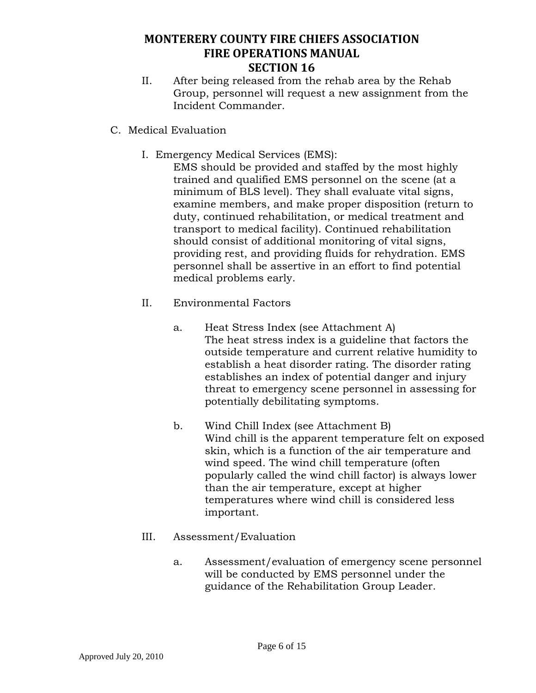- II. After being released from the rehab area by the Rehab Group, personnel will request a new assignment from the Incident Commander.
- C. Medical Evaluation
	- I. Emergency Medical Services (EMS):
		- EMS should be provided and staffed by the most highly trained and qualified EMS personnel on the scene (at a minimum of BLS level). They shall evaluate vital signs, examine members, and make proper disposition (return to duty, continued rehabilitation, or medical treatment and transport to medical facility). Continued rehabilitation should consist of additional monitoring of vital signs, providing rest, and providing fluids for rehydration. EMS personnel shall be assertive in an effort to find potential medical problems early.
	- II. Environmental Factors
		- a. Heat Stress Index (see Attachment A) The heat stress index is a guideline that factors the outside temperature and current relative humidity to establish a heat disorder rating. The disorder rating establishes an index of potential danger and injury threat to emergency scene personnel in assessing for potentially debilitating symptoms.
		- b. Wind Chill Index (see Attachment B) Wind chill is the apparent temperature felt on exposed skin, which is a function of the air temperature and wind speed. The wind chill temperature (often popularly called the wind chill factor) is always lower than the air temperature, except at higher temperatures where wind chill is considered less important.
	- III. Assessment/Evaluation
		- a. Assessment/evaluation of emergency scene personnel will be conducted by EMS personnel under the guidance of the Rehabilitation Group Leader.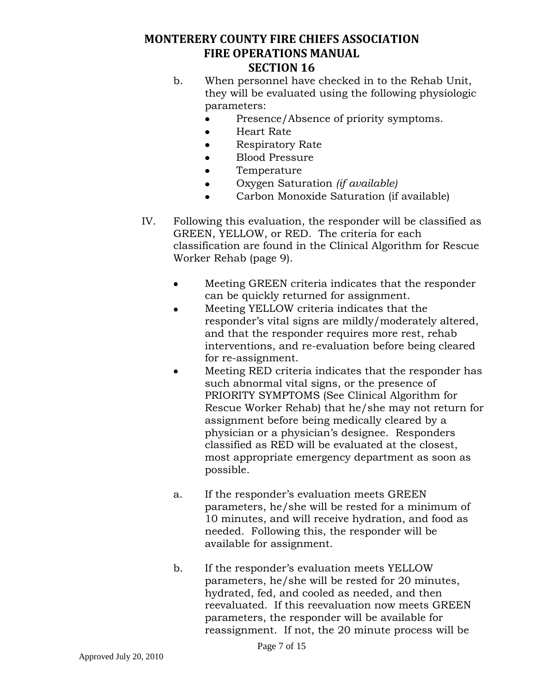- b. When personnel have checked in to the Rehab Unit, they will be evaluated using the following physiologic parameters:
	- $\bullet$ Presence/Absence of priority symptoms.
	- $\bullet$ Heart Rate
	- Respiratory Rate  $\bullet$
	- Blood Pressure  $\bullet$
	- Temperature  $\bullet$
	- $\bullet$ Oxygen Saturation *(if available)*
	- Carbon Monoxide Saturation (if available)
- IV. Following this evaluation, the responder will be classified as GREEN, YELLOW, or RED. The criteria for each classification are found in the Clinical Algorithm for Rescue Worker Rehab (page 9).
	- Meeting GREEN criteria indicates that the responder  $\bullet$ can be quickly returned for assignment.
	- Meeting YELLOW criteria indicates that the  $\bullet$ responder's vital signs are mildly/moderately altered, and that the responder requires more rest, rehab interventions, and re-evaluation before being cleared for re-assignment.
	- Meeting RED criteria indicates that the responder has  $\bullet$ such abnormal vital signs, or the presence of PRIORITY SYMPTOMS (See Clinical Algorithm for Rescue Worker Rehab) that he/she may not return for assignment before being medically cleared by a physician or a physician's designee. Responders classified as RED will be evaluated at the closest, most appropriate emergency department as soon as possible.
	- a. If the responder's evaluation meets GREEN parameters, he/she will be rested for a minimum of 10 minutes, and will receive hydration, and food as needed. Following this, the responder will be available for assignment.
	- b. If the responder's evaluation meets YELLOW parameters, he/she will be rested for 20 minutes, hydrated, fed, and cooled as needed, and then reevaluated. If this reevaluation now meets GREEN parameters, the responder will be available for reassignment. If not, the 20 minute process will be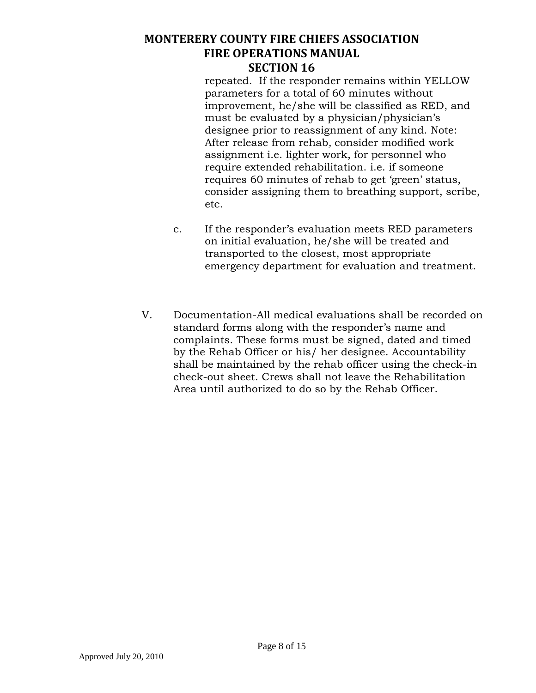repeated. If the responder remains within YELLOW parameters for a total of 60 minutes without improvement, he/she will be classified as RED, and must be evaluated by a physician/physician's designee prior to reassignment of any kind. Note: After release from rehab*,* consider modified work assignment i.e. lighter work, for personnel who require extended rehabilitation. i.e. if someone requires 60 minutes of rehab to get 'green' status, consider assigning them to breathing support, scribe, etc.

- c. If the responder's evaluation meets RED parameters on initial evaluation, he/she will be treated and transported to the closest, most appropriate emergency department for evaluation and treatment.
- V. Documentation-All medical evaluations shall be recorded on standard forms along with the responder's name and complaints. These forms must be signed, dated and timed by the Rehab Officer or his/ her designee. Accountability shall be maintained by the rehab officer using the check-in check-out sheet. Crews shall not leave the Rehabilitation Area until authorized to do so by the Rehab Officer.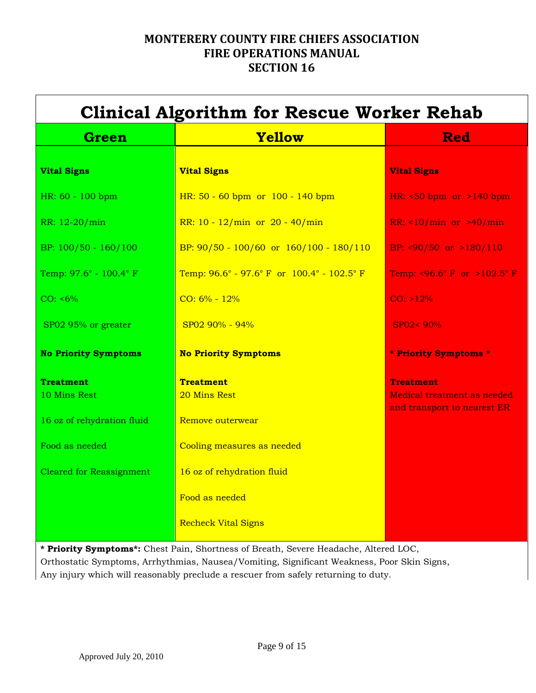|                                  | <b>Clinical Algorithm for Rescue Worker Rehab</b>                              |                                                                                |
|----------------------------------|--------------------------------------------------------------------------------|--------------------------------------------------------------------------------|
| <b>Green</b>                     | Yellow                                                                         | <b>Red</b>                                                                     |
| <b>Vital Signs</b>               | <b>Vital Signs</b>                                                             | <b>Vital Signs</b>                                                             |
| HR: 60 - 100 bpm                 | HR: 50 - 60 bpm or 100 - 140 bpm                                               | HR: $50$ bpm or $>140$ bpm                                                     |
| RR: 12-20/min                    | RR: $10 - 12/min$ or $20 - 40/min$                                             | RR: $\langle 10/min \text{ or } 240/min \rangle$                               |
| BP: 100/50 - 160/100             | BP: $90/50 - 100/60$ or $160/100 - 180/110$                                    | BP: $\langle 90/50 \text{ or } > 180/110 \rangle$                              |
| Temp: 97.6° - 100.4° F           | Temp: $96.6^{\circ}$ - $97.6^{\circ}$ F or $100.4^{\circ}$ - $102.5^{\circ}$ F | Temp: <96.6° F or >102.5° F                                                    |
| $CO: 6\%$                        | $CO: 6\% - 12\%$                                                               | $CO: >12\%$                                                                    |
| SP02 95% or greater              | $SP0290\% - 94\%$                                                              | $SP02 < 90\%$                                                                  |
| <b>No Priority Symptoms</b>      | <b>No Priority Symptoms</b>                                                    | * Priority Symptoms *                                                          |
| <b>Treatment</b><br>10 Mins Rest | <b>Treatment</b><br>20 Mins Rest                                               | <b>Treatment</b><br>Medical treatment as needed<br>and transport to nearest ER |
| 16 oz of rehydration fluid       | Remove outerwear                                                               |                                                                                |
| Food as needed                   | Cooling measures as needed                                                     |                                                                                |
| <b>Cleared for Reassignment</b>  | 16 oz of rehydration fluid                                                     |                                                                                |
|                                  | Food as needed                                                                 |                                                                                |
|                                  | <b>Recheck Vital Signs</b>                                                     |                                                                                |

**\* Priority Symptoms\*:** Chest Pain, Shortness of Breath, Severe Headache, Altered LOC, Orthostatic Symptoms, Arrhythmias, Nausea/Vomiting, Significant Weakness, Poor Skin Signs, Any injury which will reasonably preclude a rescuer from safely returning to duty.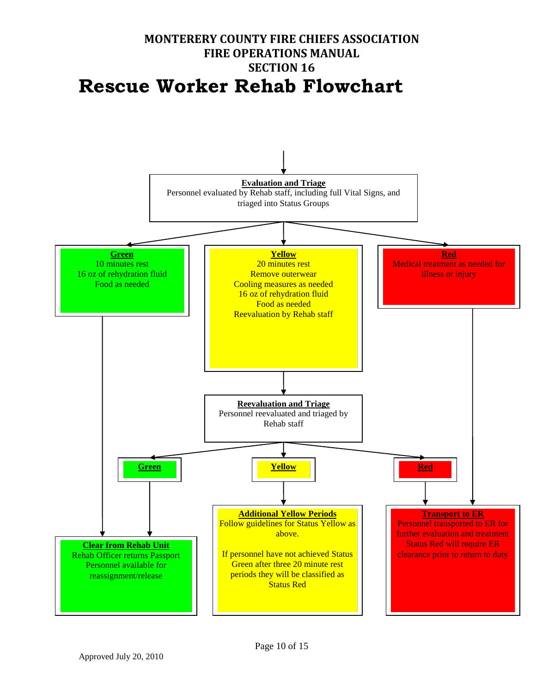# **MONTERERY COUNTY FIRE CHIEFS ASSOCIATION FIRE OPERATIONS MANUAL SECTION 16 Rescue Worker Rehab Flowchart**

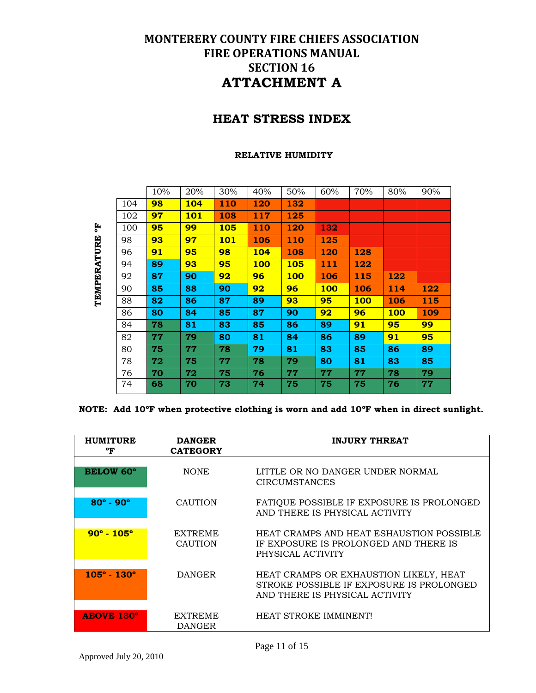### **HEAT STRESS INDEX**

#### **RELATIVE HUMIDITY**

|             |     | 10% | 20%        | 30%        | 40%        | 50%        | 60%        | 70%        | 80%        | 90% |
|-------------|-----|-----|------------|------------|------------|------------|------------|------------|------------|-----|
|             | 104 | 98  | <b>104</b> | <b>110</b> | 120        | 132        |            |            |            |     |
|             | 102 | 97  | <b>101</b> | 108        | 117        | 125        |            |            |            |     |
| 핑           | 100 | 95  | 99         | 105        | 110        | 120        | 132        |            |            |     |
|             | 98  | 93  | 97         | <b>101</b> | 106        | 110        | 125        |            |            |     |
|             | 96  | 91  | 95         | 98         | 104        | 108        | 120        | 128        |            |     |
|             | 94  | 89  | 93         | 95         | <b>100</b> | <b>105</b> | 111        | 122        |            |     |
| TEMPERATURE | 92  | 87  | 90         | 92         | 96         | <b>100</b> | 106        | 115        | 122        |     |
|             | 90  | 85  | 88         | 90         | 92         | 96         | <b>100</b> | 106        | 114        | 122 |
|             | 88  | 82  | 86         | 87         | 89         | 93         | 95         | <b>100</b> | 106        | 115 |
|             | 86  | 80  | 84         | 85         | 87         | 90         | 92         | 96         | <b>100</b> | 109 |
|             | 84  | 78  | 81         | 83         | 85         | 86         | 89         | 91         | 95         | 99  |
|             | 82  | 77  | 79         | 80         | 81         | 84         | 86         | 89         | 91         | 95  |
|             | 80  | 75  | 77         | 78         | 79         | 81         | 83         | 85         | 86         | 89  |
|             | 78  | 72  | 75         | 77         | 78         | 79         | 80         | 81         | 83         | 85  |
|             | 76  | 70  | 72         | 75         | 76         | 77         | 77         | 77         | 78         | 79  |
|             | 74  | 68  | 70         | 73         | 74         | 75         | 75         | 75         | 76         | 77  |
|             |     |     |            |            |            |            |            |            |            |     |

**NOTE: Add 10ºF when protective clothing is worn and add 10ºF when in direct sunlight.**

| <b>HUMITURE</b><br>°F       | <b>DANGER</b><br><b>CATEGORY</b> | <b>INJURY THREAT</b>                                                                                                 |
|-----------------------------|----------------------------------|----------------------------------------------------------------------------------------------------------------------|
| <b>BELOW 60°</b>            | <b>NONE</b>                      | LITTLE OR NO DANGER UNDER NORMAL<br><b>CIRCUMSTANCES</b>                                                             |
| $80^{\circ} - 90^{\circ}$   | <b>CAUTION</b>                   | FATIQUE POSSIBLE IF EXPOSURE IS PROLONGED<br>AND THERE IS PHYSICAL ACTIVITY                                          |
| $90^{\circ} - 105^{\circ}$  | <b>EXTREME</b><br><b>CAUTION</b> | HEAT CRAMPS AND HEAT ESHAUSTION POSSIBLE<br>IF EXPOSURE IS PROLONGED AND THERE IS<br>PHYSICAL ACTIVITY               |
| $105^{\circ} - 130^{\circ}$ | <b>DANGER</b>                    | HEAT CRAMPS OR EXHAUSTION LIKELY, HEAT<br>STROKE POSSIBLE IF EXPOSURE IS PROLONGED<br>AND THERE IS PHYSICAL ACTIVITY |
| <b>ABOVE 130°</b>           | <b>EXTREME</b><br><b>DANGER</b>  | <b>HEAT STROKE IMMINENT!</b>                                                                                         |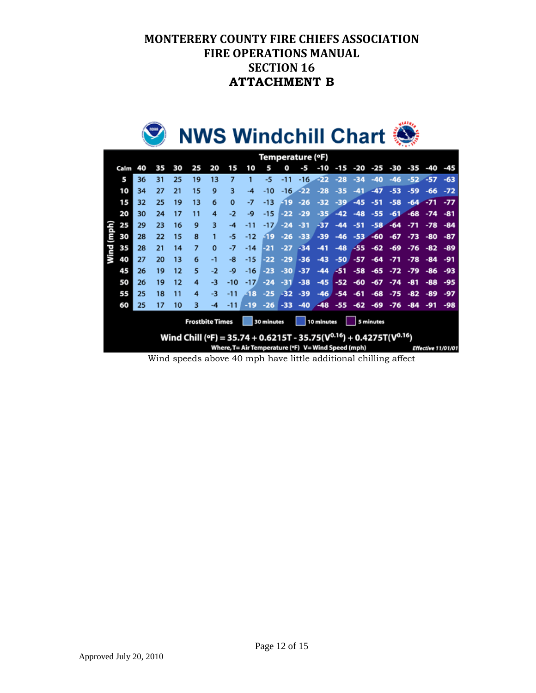

|       | Temperature (°F)                                                |    |    |    |    |          |          |       |        |       |       |                                                                                 |        |        |       |       |        |       |                           |
|-------|-----------------------------------------------------------------|----|----|----|----|----------|----------|-------|--------|-------|-------|---------------------------------------------------------------------------------|--------|--------|-------|-------|--------|-------|---------------------------|
|       | Calm                                                            | 40 | 35 | 30 | 25 | 20       | 15       | 10    | 5      | O     | -5    | -10                                                                             | $-15$  | -20    | -25   | -30   | -35    | -40   | -45                       |
|       | 5                                                               | 36 | 31 | 25 | 19 | 13       | 7        |       | -5     | -11   | -16   | -22                                                                             | $-28$  | $-34$  | $-40$ | -46   | $-52.$ | $-57$ | $-63$                     |
|       | 10                                                              | 34 | 27 | 21 | 15 | 9        | 3        | -4    | -10    | $-16$ | $-22$ | $-28$                                                                           | $-35.$ | $-41$  | $-47$ | $-53$ | -59    | $-66$ | $-72$                     |
|       | 15                                                              | 32 | 25 | 19 | 13 | 6        | $\bf{0}$ | -7    | -13    | -19   | $-26$ | $-32$                                                                           | $-39$  | $-45$  | $-51$ | $-58$ | $-64$  | $-71$ | $-77$                     |
|       | 20                                                              | 30 | 24 | 17 | 11 | 4        | $-2$     | -9    | $-15$  | -22   | $-29$ | $-35$                                                                           | $-42$  | $-48$  | $-55$ | $-61$ | $-68$  | $-74$ | $-81$                     |
|       | 25                                                              | 29 | 23 | 16 | 9  | 3        | $-4$     | $-11$ | $-17/$ | $-24$ | $-31$ | $-37$                                                                           | $-44$  | $-51$  | $-58$ | $-64$ | $-71$  | $-78$ | $-84$                     |
| (mph) | 30                                                              | 28 | 22 | 15 | 8  |          | -5       | $-12$ | -19    | $-26$ | $-33$ | $-39$                                                                           | $-46$  | $-53-$ | $-60$ | $-67$ | $-73$  | -80   | -87                       |
| Wind  | 35                                                              | 28 | 21 | 14 | 7  | $\Omega$ | $-7$     | $-14$ | -21    | $-27$ | $-34$ | $-41$                                                                           | $-48$  | -55    | $-62$ | $-69$ | $-76$  | $-82$ | -89                       |
|       | 40                                                              | 27 | 20 | 13 | 6  | $-1$     | -8       | $-15$ | -22    | $-29$ | -36   | $-43$                                                                           | $-50$  | -57    | $-64$ | -71   | $-78$  | $-84$ | $-91$                     |
|       | 45                                                              | 26 | 19 | 12 | 5  | $-2$     | -9       | $-16$ | $-23$  | $-30$ | $-37$ | $-44$                                                                           | -51    | -58    | -65   | -72   | $-79$  | -86   | -93                       |
|       | 50                                                              | 26 | 19 | 12 | 4  | -3       | -10      | $-17$ | $-24$  | -31   | $-38$ | $-45$                                                                           | $-52$  | -60    | $-67$ | $-74$ | $-81$  | $-88$ | $-95$                     |
|       | 55                                                              | 25 | 18 | 11 | 4  | -3       | -11      | -18   | $-25$  | $-32$ | $-39$ | $-46$                                                                           | $-54$  | $-61$  | $-68$ | -75   | -82    | -89   | $-97$                     |
|       | 60                                                              | 25 | 17 | 10 | з  | -4       | -11      | -19   | $-26$  | -33   | $-40$ | $-48$                                                                           | $-55$  | $-62$  | $-69$ | -76   | -84    | -91   | -98                       |
|       | <b>Frostbite Times</b><br>30 minutes<br>10 minutes<br>5 minutes |    |    |    |    |          |          |       |        |       |       |                                                                                 |        |        |       |       |        |       |                           |
|       |                                                                 |    |    |    |    |          |          |       |        |       |       | Wind Chill (°F) = 35.74 + 0.6215T - 35.75( $V^{0.16}$ ) + 0.4275T( $V^{0.16}$ ) |        |        |       |       |        |       |                           |
|       |                                                                 |    |    |    |    |          |          |       |        |       |       | Where, T= Air Temperature (°F) V= Wind Speed (mph)                              |        |        |       |       |        |       | <b>Effective 11/01/01</b> |

Wind speeds above 40 mph have little additional chilling affect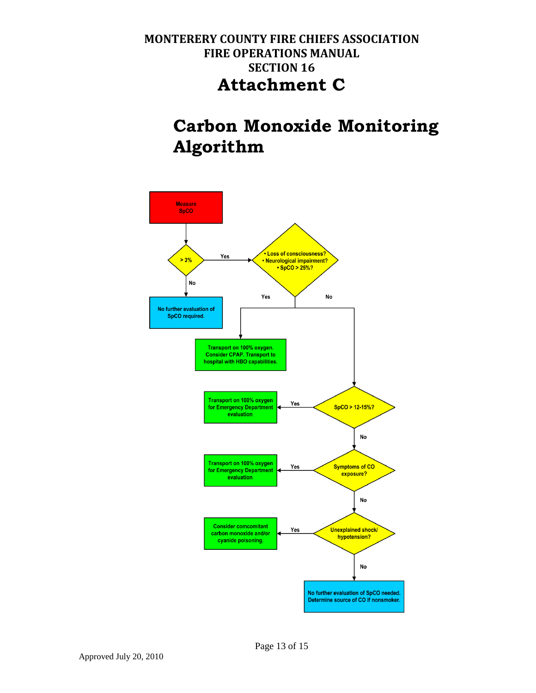# **Carbon Monoxide Monitoring Algorithm**

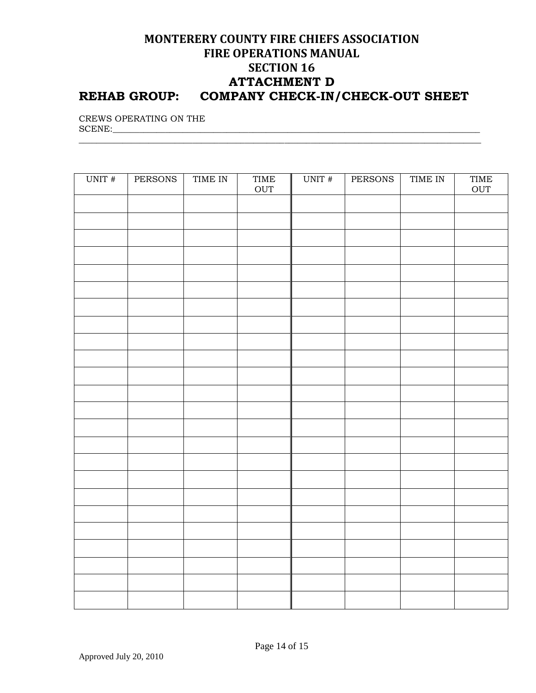### **MONTERERY COUNTY FIRE CHIEFS ASSOCIATION FIRE OPERATIONS MANUAL SECTION 16 ATTACHMENT D REHAB GROUP: COMPANY CHECK-IN/CHECK-OUT SHEET**

\_\_\_\_\_\_\_\_\_\_\_\_\_\_\_\_\_\_\_\_\_\_\_\_\_\_\_\_\_\_\_\_\_\_\_\_\_\_\_\_\_\_\_\_\_\_\_\_\_\_\_\_\_\_\_\_\_\_\_\_\_\_\_\_\_\_\_\_\_\_\_\_\_\_\_\_\_\_\_\_\_\_\_\_\_\_\_\_\_\_\_\_

CREWS OPERATING ON THE  $SCENE:$ 

| UNIT # | <b>PERSONS</b> | TIME IN | TIME<br>OUT | UNIT # | <b>PERSONS</b> | TIME IN | TIME<br>OUT |
|--------|----------------|---------|-------------|--------|----------------|---------|-------------|
|        |                |         |             |        |                |         |             |
|        |                |         |             |        |                |         |             |
|        |                |         |             |        |                |         |             |
|        |                |         |             |        |                |         |             |
|        |                |         |             |        |                |         |             |
|        |                |         |             |        |                |         |             |
|        |                |         |             |        |                |         |             |
|        |                |         |             |        |                |         |             |
|        |                |         |             |        |                |         |             |
|        |                |         |             |        |                |         |             |
|        |                |         |             |        |                |         |             |
|        |                |         |             |        |                |         |             |
|        |                |         |             |        |                |         |             |
|        |                |         |             |        |                |         |             |
|        |                |         |             |        |                |         |             |
|        |                |         |             |        |                |         |             |
|        |                |         |             |        |                |         |             |
|        |                |         |             |        |                |         |             |
|        |                |         |             |        |                |         |             |
|        |                |         |             |        |                |         |             |
|        |                |         |             |        |                |         |             |
|        |                |         |             |        |                |         |             |
|        |                |         |             |        |                |         |             |
|        |                |         |             |        |                |         |             |